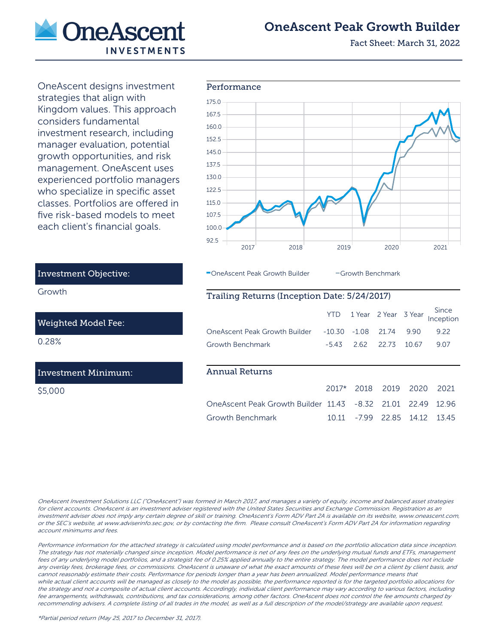

# OneAscent Peak Growth Builder

Fact Sheet: March 31, 2022

OneAscent designs investment strategies that align with Kingdom values. This approach considers fundamental investment research, including manager evaluation, potential growth opportunities, and risk management. OneAscent uses experienced portfolio managers who specialize in specific asset classes. Portfolios are offered in five risk-based models to meet each client's financial goals.



OneAscent Peak Growth Builder - Growth Benchmark

### Trailing Returns (Inception Date: 5/24/2017)

|                                                  | <b>YTD</b> |         | 1 Year 2 Year 3 Year |       | Since<br>Inception |
|--------------------------------------------------|------------|---------|----------------------|-------|--------------------|
| OneAscent Peak Growth Builder                    | $-10.30$   | $-1.08$ | 21.74                | 990   | 9.22               |
| Growth Benchmark                                 | $-543$     | 2.62    | 22.73                | 10.67 | 9.07               |
|                                                  |            |         |                      |       |                    |
| Annual Returns                                   |            |         |                      |       |                    |
|                                                  | $2017*$    | 2018    | 2019                 | 2020  | 2021               |
| One Ascent Peak Growth Builder 11.43 -8.32 21.01 |            |         |                      | 22.49 | 1296               |
| Growth Benchmark                                 | 10.11      | $-7.99$ | 22.85                | 14.12 | 1345               |

### Investment Objective:

Growth

Weighted Model Fee:

0.28%

#### Investment Minimum:

\$5,000

OneAscent Investment Solutions LLC ("OneAscent") was formed in March 2017, and manages a variety of equity, income and balanced asset strategies for client accounts. OneAscent is an investment adviser registered with the United States Securities and Exchange Commission. Registration as an investment adviser does not imply any certain degree of skill or training. OneAscent's Form ADV Part 2A is available on its website, www.oneascent.com, or the SEC's website, at www.adviserinfo.sec.gov, or by contacting the firm. Please consult OneAscent's Form ADV Part 2A for information regarding account minimums and fees.

Performance information for the attached strategy is calculated using model performance and is based on the portfolio allocation data since inception. The strategy has not materially changed since inception. Model performance is net of any fees on the underlying mutual funds and ETFs, management fees of any underlying model portfolios, and a strategist fee of 0.25% applied annually to the entire strategy. The model performance does not include any overlay fees, brokerage fees, or commissions. OneAscent is unaware of what the exact amounts of these fees will be on a client by client basis, and cannot reasonably estimate their costs. Performance for periods longer than a year has been annualized. Model performance means that while actual client accounts will be managed as closely to the model as possible, the performance reported is for the targeted portfolio allocations for the strategy and not a composite of actual client accounts. Accordingly, individual client performance may vary according to various factors, including fee arrangements, withdrawals, contributions, and tax considerations, among other factors. OneAscent does not control the fee amounts charged by recommending advisers. A complete listing of all trades in the model, as well as a full description of the model/strategy are available upon request.